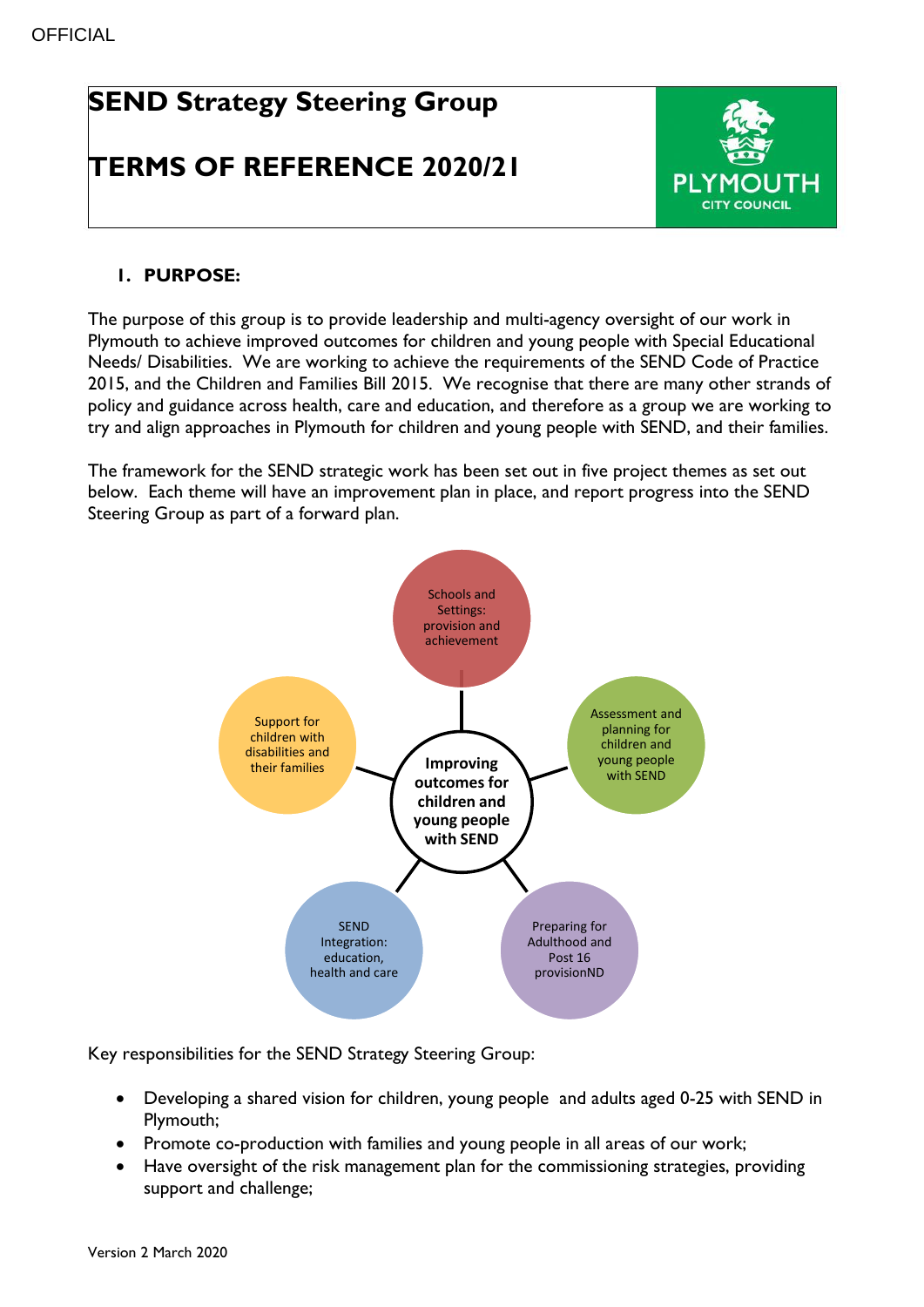# **SEND Strategy Steering Group**

## **TERMS OF REFERENCE 2020/21**



### **1. PURPOSE:**

The purpose of this group is to provide leadership and multi-agency oversight of our work in Plymouth to achieve improved outcomes for children and young people with Special Educational Needs/ Disabilities. We are working to achieve the requirements of the SEND Code of Practice 2015, and the Children and Families Bill 2015. We recognise that there are many other strands of policy and guidance across health, care and education, and therefore as a group we are working to try and align approaches in Plymouth for children and young people with SEND, and their families.

The framework for the SEND strategic work has been set out in five project themes as set out below. Each theme will have an improvement plan in place, and report progress into the SEND Steering Group as part of a forward plan.



Key responsibilities for the SEND Strategy Steering Group:

- Developing a shared vision for children, young people and adults aged 0-25 with SEND in Plymouth;
- Promote co-production with families and young people in all areas of our work;
- Have oversight of the risk management plan for the commissioning strategies, providing support and challenge;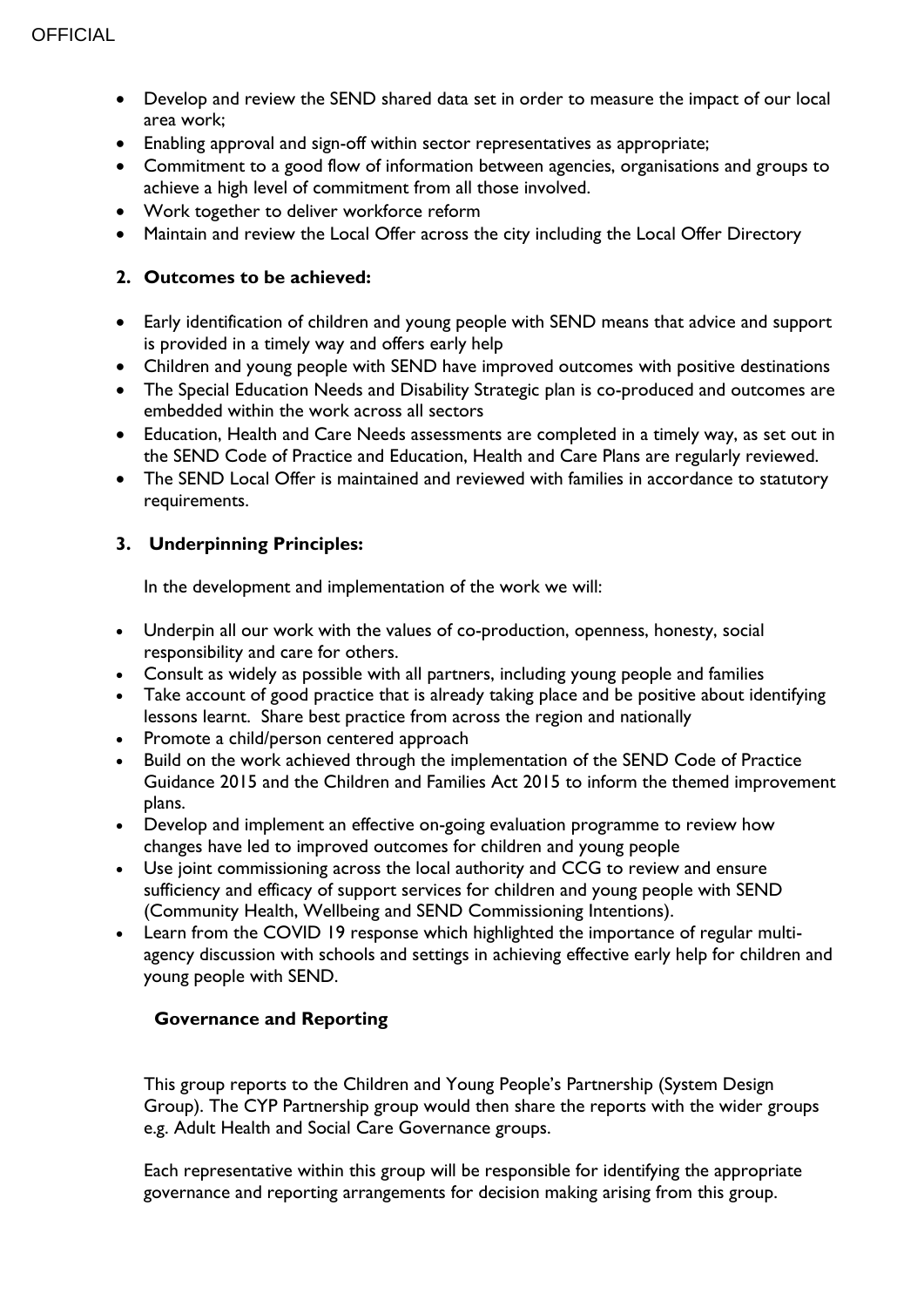- Develop and review the SEND shared data set in order to measure the impact of our local area work;
- Enabling approval and sign-off within sector representatives as appropriate;
- Commitment to a good flow of information between agencies, organisations and groups to achieve a high level of commitment from all those involved.
- Work together to deliver workforce reform
- Maintain and review the Local Offer across the city including the Local Offer Directory

### **2. Outcomes to be achieved:**

- Early identification of children and young people with SEND means that advice and support is provided in a timely way and offers early help
- Children and young people with SEND have improved outcomes with positive destinations
- The Special Education Needs and Disability Strategic plan is co-produced and outcomes are embedded within the work across all sectors
- Education, Health and Care Needs assessments are completed in a timely way, as set out in the SEND Code of Practice and Education, Health and Care Plans are regularly reviewed.
- The SEND Local Offer is maintained and reviewed with families in accordance to statutory requirements.

### **3. Underpinning Principles:**

In the development and implementation of the work we will:

- Underpin all our work with the values of co-production, openness, honesty, social responsibility and care for others.
- Consult as widely as possible with all partners, including young people and families
- Take account of good practice that is already taking place and be positive about identifying lessons learnt. Share best practice from across the region and nationally
- Promote a child/person centered approach
- Build on the work achieved through the implementation of the SEND Code of Practice Guidance 2015 and the Children and Families Act 2015 to inform the themed improvement plans.
- Develop and implement an effective on-going evaluation programme to review how changes have led to improved outcomes for children and young people
- Use joint commissioning across the local authority and CCG to review and ensure sufficiency and efficacy of support services for children and young people with SEND (Community Health, Wellbeing and SEND Commissioning Intentions).
- Learn from the COVID 19 response which highlighted the importance of regular multiagency discussion with schools and settings in achieving effective early help for children and young people with SEND.

### **Governance and Reporting**

This group reports to the Children and Young People's Partnership (System Design Group). The CYP Partnership group would then share the reports with the wider groups e.g. Adult Health and Social Care Governance groups.

Each representative within this group will be responsible for identifying the appropriate governance and reporting arrangements for decision making arising from this group.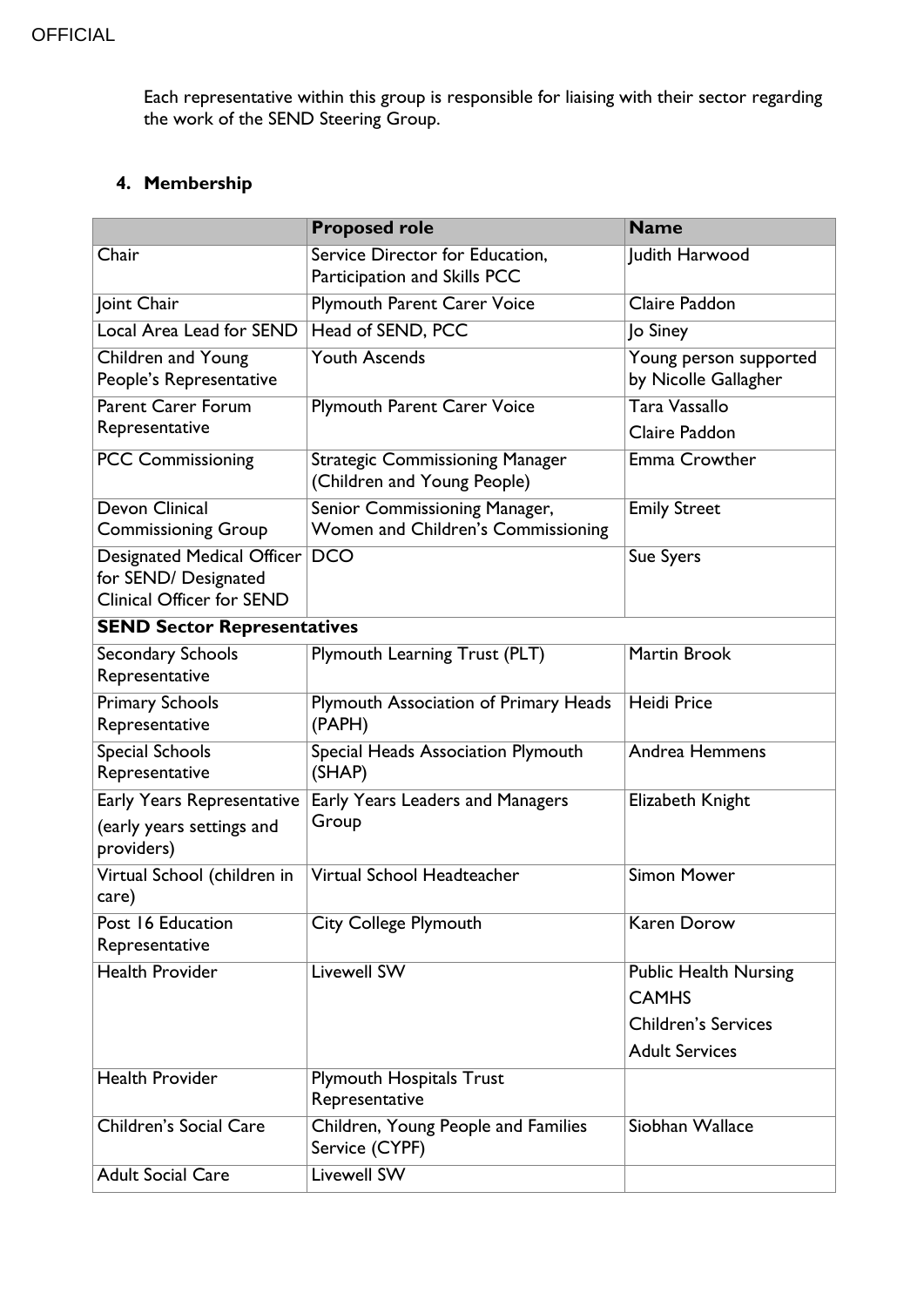Each representative within this group is responsible for liaising with their sector regarding the work of the SEND Steering Group.

### **4. Membership**

|                                                                                 | <b>Proposed role</b>                                                  | <b>Name</b>                                                                                         |  |
|---------------------------------------------------------------------------------|-----------------------------------------------------------------------|-----------------------------------------------------------------------------------------------------|--|
| Chair                                                                           | Service Director for Education,<br>Participation and Skills PCC       | Judith Harwood                                                                                      |  |
| Joint Chair                                                                     | <b>Plymouth Parent Carer Voice</b>                                    | Claire Paddon                                                                                       |  |
| Local Area Lead for SEND                                                        | Head of SEND, PCC                                                     | Jo Siney                                                                                            |  |
| <b>Children and Young</b><br>People's Representative                            | <b>Youth Ascends</b>                                                  | Young person supported<br>by Nicolle Gallagher                                                      |  |
| <b>Parent Carer Forum</b><br>Representative                                     | <b>Plymouth Parent Carer Voice</b>                                    | <b>Tara Vassallo</b><br>Claire Paddon                                                               |  |
| <b>PCC Commissioning</b>                                                        | <b>Strategic Commissioning Manager</b><br>(Children and Young People) | Emma Crowther                                                                                       |  |
| Devon Clinical<br><b>Commissioning Group</b>                                    | Senior Commissioning Manager,<br>Women and Children's Commissioning   | <b>Emily Street</b>                                                                                 |  |
| Designated Medical Officer<br>for SEND/ Designated<br>Clinical Officer for SEND | <b>DCO</b>                                                            | Sue Syers                                                                                           |  |
| <b>SEND Sector Representatives</b>                                              |                                                                       |                                                                                                     |  |
| Secondary Schools<br>Representative                                             | Plymouth Learning Trust (PLT)                                         | Martin Brook                                                                                        |  |
| <b>Primary Schools</b><br>Representative                                        | Plymouth Association of Primary Heads<br>(PAPH)                       | <b>Heidi Price</b>                                                                                  |  |
| <b>Special Schools</b><br>Representative                                        | Special Heads Association Plymouth<br>(SHAP)                          | Andrea Hemmens                                                                                      |  |
| Early Years Representative<br>(early years settings and<br>providers)           | Early Years Leaders and Managers<br>Group                             | Elizabeth Knight                                                                                    |  |
| Virtual School (children in<br>care)                                            | Virtual School Headteacher                                            | <b>Simon Mower</b>                                                                                  |  |
| Post 16 Education<br>Representative                                             | City College Plymouth                                                 | <b>Karen Dorow</b>                                                                                  |  |
| <b>Health Provider</b>                                                          | <b>Livewell SW</b>                                                    | <b>Public Health Nursing</b><br><b>CAMHS</b><br><b>Children's Services</b><br><b>Adult Services</b> |  |
| <b>Health Provider</b>                                                          | <b>Plymouth Hospitals Trust</b><br>Representative                     |                                                                                                     |  |
| <b>Children's Social Care</b>                                                   | Children, Young People and Families<br>Service (CYPF)                 | Siobhan Wallace                                                                                     |  |
| <b>Adult Social Care</b>                                                        | <b>Livewell SW</b>                                                    |                                                                                                     |  |